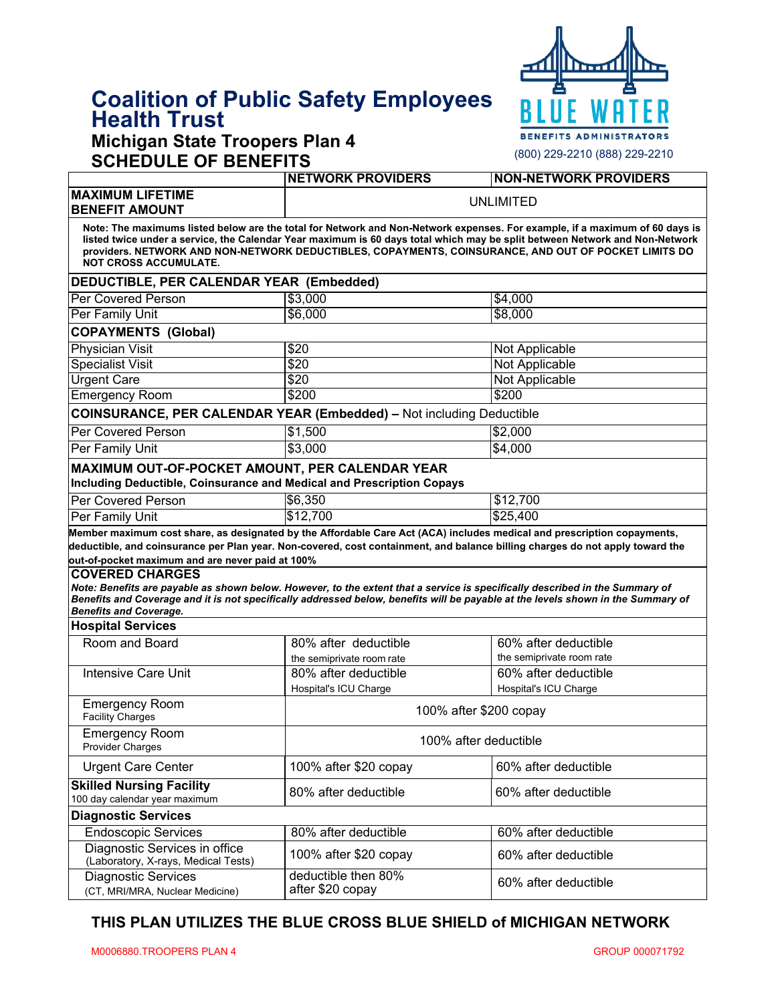# **Coalition of Public Safety Employees Health Trust**

### **Michigan State Troopers Plan 4 SCHEDULE OF BENEFITS**



| SCHLDULL OF DLINLI ITS                                                                                                                                                                                                                                                                                                                                                                                                                                                          |                                                                          |                                                   |  |  |
|---------------------------------------------------------------------------------------------------------------------------------------------------------------------------------------------------------------------------------------------------------------------------------------------------------------------------------------------------------------------------------------------------------------------------------------------------------------------------------|--------------------------------------------------------------------------|---------------------------------------------------|--|--|
|                                                                                                                                                                                                                                                                                                                                                                                                                                                                                 | <b>NETWORK PROVIDERS</b>                                                 | <b>NON-NETWORK PROVIDERS</b>                      |  |  |
| <b>MAXIMUM LIFETIME</b><br><b>BENEFIT AMOUNT</b>                                                                                                                                                                                                                                                                                                                                                                                                                                | <b>UNLIMITED</b>                                                         |                                                   |  |  |
| Note: The maximums listed below are the total for Network and Non-Network expenses. For example, if a maximum of 60 days is<br>listed twice under a service, the Calendar Year maximum is 60 days total which may be split between Network and Non-Network<br>providers. NETWORK AND NON-NETWORK DEDUCTIBLES, COPAYMENTS, COINSURANCE, AND OUT OF POCKET LIMITS DO<br><b>NOT CROSS ACCUMULATE.</b>                                                                              |                                                                          |                                                   |  |  |
| DEDUCTIBLE, PER CALENDAR YEAR (Embedded)                                                                                                                                                                                                                                                                                                                                                                                                                                        |                                                                          |                                                   |  |  |
| <b>Per Covered Person</b>                                                                                                                                                                                                                                                                                                                                                                                                                                                       | \$3,000                                                                  | \$4,000                                           |  |  |
| Per Family Unit                                                                                                                                                                                                                                                                                                                                                                                                                                                                 | \$6,000                                                                  | \$8,000                                           |  |  |
| <b>COPAYMENTS (Global)</b>                                                                                                                                                                                                                                                                                                                                                                                                                                                      |                                                                          |                                                   |  |  |
| <b>Physician Visit</b>                                                                                                                                                                                                                                                                                                                                                                                                                                                          | \$20                                                                     | Not Applicable                                    |  |  |
| <b>Specialist Visit</b>                                                                                                                                                                                                                                                                                                                                                                                                                                                         | $\sqrt{$20}$                                                             | Not Applicable                                    |  |  |
| <b>Urgent Care</b>                                                                                                                                                                                                                                                                                                                                                                                                                                                              | \$20                                                                     | <b>Not Applicable</b>                             |  |  |
| <b>Emergency Room</b>                                                                                                                                                                                                                                                                                                                                                                                                                                                           | \$200                                                                    | \$200                                             |  |  |
| <b>COINSURANCE, PER CALENDAR YEAR (Embedded) - Not including Deductible</b>                                                                                                                                                                                                                                                                                                                                                                                                     |                                                                          |                                                   |  |  |
| <b>Per Covered Person</b>                                                                                                                                                                                                                                                                                                                                                                                                                                                       | \$1,500                                                                  | \$2,000                                           |  |  |
| Per Family Unit                                                                                                                                                                                                                                                                                                                                                                                                                                                                 | \$3,000                                                                  | \$4,000                                           |  |  |
| MAXIMUM OUT-OF-POCKET AMOUNT, PER CALENDAR YEAR<br>Including Deductible, Coinsurance and Medical and Prescription Copays                                                                                                                                                                                                                                                                                                                                                        |                                                                          |                                                   |  |  |
| Per Covered Person                                                                                                                                                                                                                                                                                                                                                                                                                                                              | \$6,350                                                                  | \$12,700                                          |  |  |
| Per Family Unit                                                                                                                                                                                                                                                                                                                                                                                                                                                                 | \$12,700                                                                 | \$25,400                                          |  |  |
| deductible, and coinsurance per Plan year. Non-covered, cost containment, and balance billing charges do not apply toward the<br>out-of-pocket maximum and are never paid at 100%<br><b>COVERED CHARGES</b><br>Note: Benefits are payable as shown below. However, to the extent that a service is specifically described in the Summary of<br>Benefits and Coverage and it is not specifically addressed below, benefits will be payable at the levels shown in the Summary of |                                                                          |                                                   |  |  |
| <b>Benefits and Coverage.</b>                                                                                                                                                                                                                                                                                                                                                                                                                                                   |                                                                          |                                                   |  |  |
| <b>Hospital Services</b>                                                                                                                                                                                                                                                                                                                                                                                                                                                        |                                                                          |                                                   |  |  |
| Room and Board                                                                                                                                                                                                                                                                                                                                                                                                                                                                  | 80% after deductible                                                     | 60% after deductible                              |  |  |
| <b>Intensive Care Unit</b>                                                                                                                                                                                                                                                                                                                                                                                                                                                      | the semiprivate room rate<br>80% after deductible                        | the semiprivate room rate<br>60% after deductible |  |  |
|                                                                                                                                                                                                                                                                                                                                                                                                                                                                                 |                                                                          |                                                   |  |  |
| <b>Emergency Room</b><br><b>Facility Charges</b>                                                                                                                                                                                                                                                                                                                                                                                                                                | Hospital's ICU Charge<br>Hospital's ICU Charge<br>100% after \$200 copay |                                                   |  |  |
| <b>Emergency Room</b><br><b>Provider Charges</b>                                                                                                                                                                                                                                                                                                                                                                                                                                | 100% after deductible                                                    |                                                   |  |  |
| <b>Urgent Care Center</b>                                                                                                                                                                                                                                                                                                                                                                                                                                                       | 100% after \$20 copay                                                    | 60% after deductible                              |  |  |
| <b>Skilled Nursing Facility</b><br>100 day calendar year maximum                                                                                                                                                                                                                                                                                                                                                                                                                | 80% after deductible                                                     | 60% after deductible                              |  |  |
| <b>Diagnostic Services</b>                                                                                                                                                                                                                                                                                                                                                                                                                                                      |                                                                          |                                                   |  |  |
| <b>Endoscopic Services</b>                                                                                                                                                                                                                                                                                                                                                                                                                                                      | 80% after deductible                                                     | 60% after deductible                              |  |  |
| Diagnostic Services in office<br>(Laboratory, X-rays, Medical Tests)                                                                                                                                                                                                                                                                                                                                                                                                            | 100% after \$20 copay                                                    | 60% after deductible                              |  |  |
| <b>Diagnostic Services</b><br>(CT, MRI/MRA, Nuclear Medicine)                                                                                                                                                                                                                                                                                                                                                                                                                   | deductible then 80%<br>after \$20 copay                                  | 60% after deductible                              |  |  |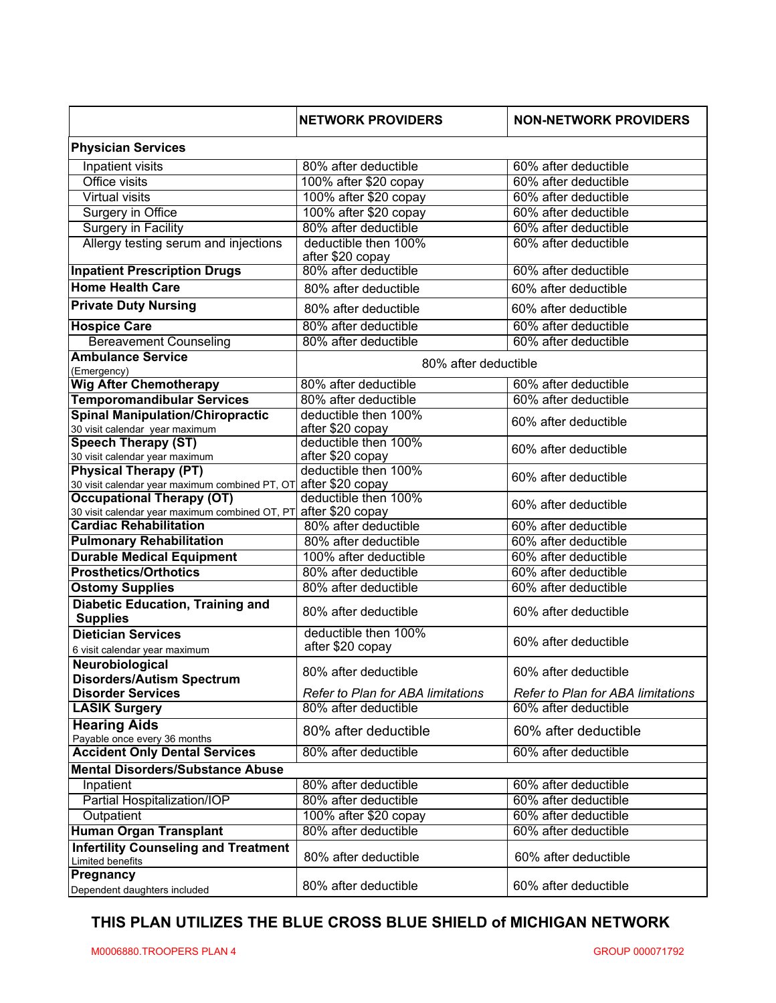|                                                                  | <b>NETWORK PROVIDERS</b>                 | <b>NON-NETWORK PROVIDERS</b>      |
|------------------------------------------------------------------|------------------------------------------|-----------------------------------|
| <b>Physician Services</b>                                        |                                          |                                   |
| Inpatient visits                                                 | 80% after deductible                     | 60% after deductible              |
| <b>Office visits</b>                                             | 100% after \$20 copay                    | 60% after deductible              |
| <b>Virtual visits</b>                                            | 100% after \$20 copay                    | 60% after deductible              |
| Surgery in Office                                                | 100% after \$20 copay                    | 60% after deductible              |
| <b>Surgery in Facility</b>                                       | 80% after deductible                     | 60% after deductible              |
| Allergy testing serum and injections                             | deductible then 100%<br>after \$20 copay | 60% after deductible              |
| <b>Inpatient Prescription Drugs</b>                              | 80% after deductible                     | 60% after deductible              |
| <b>Home Health Care</b>                                          | 80% after deductible                     | 60% after deductible              |
| <b>Private Duty Nursing</b>                                      | 80% after deductible                     | 60% after deductible              |
| <b>Hospice Care</b>                                              | 80% after deductible                     | 60% after deductible              |
| <b>Bereavement Counseling</b>                                    | 80% after deductible                     | 60% after deductible              |
| <b>Ambulance Service</b>                                         |                                          |                                   |
| (Emergency)                                                      | 80% after deductible                     |                                   |
| <b>Wig After Chemotherapy</b>                                    | 80% after deductible                     | 60% after deductible              |
| <b>Temporomandibular Services</b>                                | 80% after deductible                     | 60% after deductible              |
| <b>Spinal Manipulation/Chiropractic</b>                          | deductible then 100%                     | 60% after deductible              |
| 30 visit calendar year maximum<br><b>Speech Therapy (ST)</b>     | after \$20 copay<br>deductible then 100% |                                   |
| 30 visit calendar year maximum                                   | after \$20 copay                         | 60% after deductible              |
| <b>Physical Therapy (PT)</b>                                     | deductible then 100%                     |                                   |
| 30 visit calendar year maximum combined PT, OT                   | after \$20 copay                         | 60% after deductible              |
| <b>Occupational Therapy (OT)</b>                                 | deductible then 100%                     |                                   |
| 30 visit calendar year maximum combined OT, PT∣ after \$20 copay |                                          | 60% after deductible              |
| <b>Cardiac Rehabilitation</b>                                    | 80% after deductible                     | 60% after deductible              |
| <b>Pulmonary Rehabilitation</b>                                  | 80% after deductible                     | 60% after deductible              |
| <b>Durable Medical Equipment</b>                                 | 100% after deductible                    | 60% after deductible              |
| <b>Prosthetics/Orthotics</b>                                     | 80% after deductible                     | 60% after deductible              |
| <b>Ostomy Supplies</b>                                           | 80% after deductible                     | 60% after deductible              |
| <b>Diabetic Education, Training and</b><br><b>Supplies</b>       | 80% after deductible                     | 60% after deductible              |
| <b>Dietician Services</b>                                        | deductible then 100%                     | 60% after deductible              |
| 6 visit calendar year maximum                                    | after \$20 copay                         |                                   |
| Neurobiological<br><b>Disorders/Autism Spectrum</b>              | 80% after deductible                     | 60% after deductible              |
| <b>Disorder Services</b>                                         | Refer to Plan for ABA limitations        | Refer to Plan for ABA limitations |
| <b>LASIK Surgery</b>                                             | 80% after deductible                     | 60% after deductible              |
| <b>Hearing Aids</b><br>Payable once every 36 months              | 80% after deductible                     | 60% after deductible              |
| <b>Accident Only Dental Services</b>                             | 80% after deductible                     | 60% after deductible              |
| <b>Mental Disorders/Substance Abuse</b>                          |                                          |                                   |
| Inpatient                                                        | 80% after deductible                     | 60% after deductible              |
| Partial Hospitalization/IOP                                      | 80% after deductible                     | 60% after deductible              |
| Outpatient                                                       | 100% after \$20 copay                    | 60% after deductible              |
| <b>Human Organ Transplant</b>                                    | 80% after deductible                     | 60% after deductible              |
| <b>Infertility Counseling and Treatment</b><br>Limited benefits  | 80% after deductible                     | 60% after deductible              |
| Pregnancy<br>Dependent daughters included                        | 80% after deductible                     | 60% after deductible              |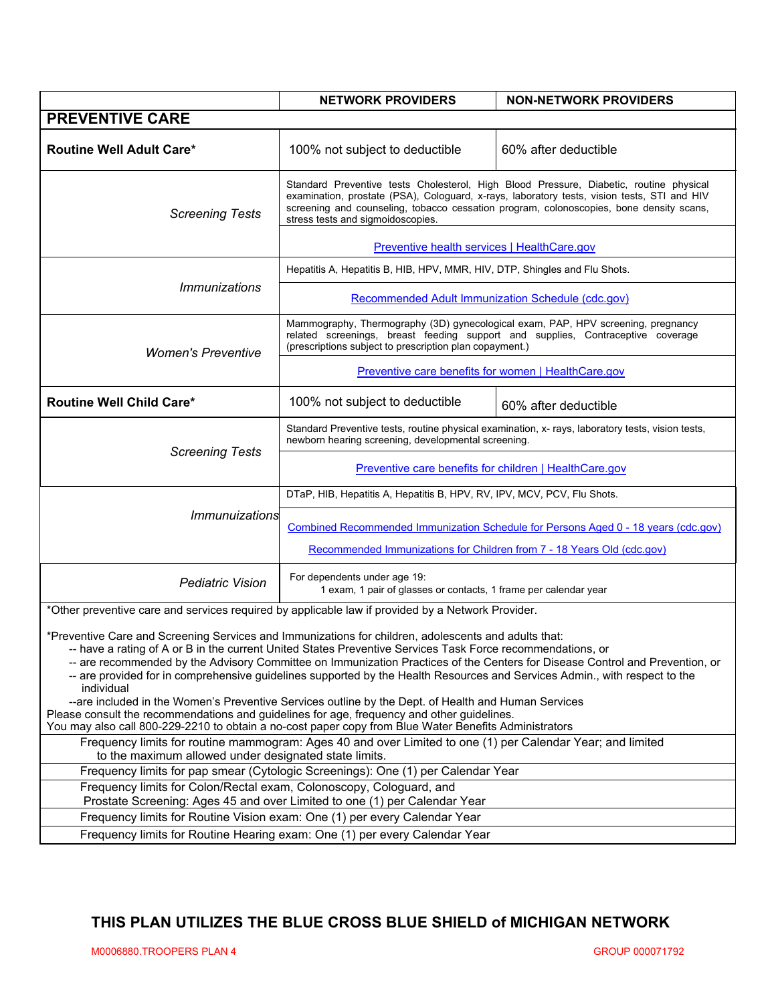|                                                                                                                                                                                                                                                                                                                                                                                                                                                                                                                                                                                                                                                                                                     | <b>NETWORK PROVIDERS</b>                                                                                                                                                                                                                                                                                              | <b>NON-NETWORK PROVIDERS</b> |  |  |
|-----------------------------------------------------------------------------------------------------------------------------------------------------------------------------------------------------------------------------------------------------------------------------------------------------------------------------------------------------------------------------------------------------------------------------------------------------------------------------------------------------------------------------------------------------------------------------------------------------------------------------------------------------------------------------------------------------|-----------------------------------------------------------------------------------------------------------------------------------------------------------------------------------------------------------------------------------------------------------------------------------------------------------------------|------------------------------|--|--|
| <b>PREVENTIVE CARE</b>                                                                                                                                                                                                                                                                                                                                                                                                                                                                                                                                                                                                                                                                              |                                                                                                                                                                                                                                                                                                                       |                              |  |  |
| <b>Routine Well Adult Care*</b>                                                                                                                                                                                                                                                                                                                                                                                                                                                                                                                                                                                                                                                                     | 100% not subject to deductible                                                                                                                                                                                                                                                                                        | 60% after deductible         |  |  |
| <b>Screening Tests</b>                                                                                                                                                                                                                                                                                                                                                                                                                                                                                                                                                                                                                                                                              | Standard Preventive tests Cholesterol, High Blood Pressure, Diabetic, routine physical<br>examination, prostate (PSA), Cologuard, x-rays, laboratory tests, vision tests, STI and HIV<br>screening and counseling, tobacco cessation program, colonoscopies, bone density scans,<br>stress tests and sigmoidoscopies. |                              |  |  |
|                                                                                                                                                                                                                                                                                                                                                                                                                                                                                                                                                                                                                                                                                                     | Preventive health services   HealthCare.gov                                                                                                                                                                                                                                                                           |                              |  |  |
| <i><b>Immunizations</b></i>                                                                                                                                                                                                                                                                                                                                                                                                                                                                                                                                                                                                                                                                         | Hepatitis A, Hepatitis B, HIB, HPV, MMR, HIV, DTP, Shingles and Flu Shots.                                                                                                                                                                                                                                            |                              |  |  |
|                                                                                                                                                                                                                                                                                                                                                                                                                                                                                                                                                                                                                                                                                                     | <b>Recommended Adult Immunization Schedule (cdc.gov)</b>                                                                                                                                                                                                                                                              |                              |  |  |
| <b>Women's Preventive</b>                                                                                                                                                                                                                                                                                                                                                                                                                                                                                                                                                                                                                                                                           | Mammography, Thermography (3D) gynecological exam, PAP, HPV screening, pregnancy<br>related screenings, breast feeding support and supplies, Contraceptive coverage<br>(prescriptions subject to prescription plan copayment.)                                                                                        |                              |  |  |
|                                                                                                                                                                                                                                                                                                                                                                                                                                                                                                                                                                                                                                                                                                     | Preventive care benefits for women   HealthCare.gov                                                                                                                                                                                                                                                                   |                              |  |  |
| <b>Routine Well Child Care*</b>                                                                                                                                                                                                                                                                                                                                                                                                                                                                                                                                                                                                                                                                     | 100% not subject to deductible                                                                                                                                                                                                                                                                                        | 60% after deductible         |  |  |
| <b>Screening Tests</b>                                                                                                                                                                                                                                                                                                                                                                                                                                                                                                                                                                                                                                                                              | Standard Preventive tests, routine physical examination, x- rays, laboratory tests, vision tests,<br>newborn hearing screening, developmental screening.                                                                                                                                                              |                              |  |  |
|                                                                                                                                                                                                                                                                                                                                                                                                                                                                                                                                                                                                                                                                                                     | <b>Preventive care benefits for children   HealthCare.gov</b>                                                                                                                                                                                                                                                         |                              |  |  |
| Immunuizations                                                                                                                                                                                                                                                                                                                                                                                                                                                                                                                                                                                                                                                                                      | DTaP, HIB, Hepatitis A, Hepatitis B, HPV, RV, IPV, MCV, PCV, Flu Shots.                                                                                                                                                                                                                                               |                              |  |  |
|                                                                                                                                                                                                                                                                                                                                                                                                                                                                                                                                                                                                                                                                                                     | Combined Recommended Immunization Schedule for Persons Aged 0 - 18 years (cdc.gov)                                                                                                                                                                                                                                    |                              |  |  |
|                                                                                                                                                                                                                                                                                                                                                                                                                                                                                                                                                                                                                                                                                                     | Recommended Immunizations for Children from 7 - 18 Years Old (cdc.gov)                                                                                                                                                                                                                                                |                              |  |  |
| <b>Pediatric Vision</b>                                                                                                                                                                                                                                                                                                                                                                                                                                                                                                                                                                                                                                                                             | For dependents under age 19:<br>1 exam, 1 pair of glasses or contacts, 1 frame per calendar year                                                                                                                                                                                                                      |                              |  |  |
| *Other preventive care and services required by applicable law if provided by a Network Provider.                                                                                                                                                                                                                                                                                                                                                                                                                                                                                                                                                                                                   |                                                                                                                                                                                                                                                                                                                       |                              |  |  |
| *Preventive Care and Screening Services and Immunizations for children, adolescents and adults that:<br>-- have a rating of A or B in the current United States Preventive Services Task Force recommendations, or<br>-- are recommended by the Advisory Committee on Immunization Practices of the Centers for Disease Control and Prevention, or<br>-- are provided for in comprehensive guidelines supported by the Health Resources and Services Admin., with respect to the<br>individual<br>--are included in the Women's Preventive Services outline by the Dept. of Health and Human Services<br>Please consult the recommendations and guidelines for age, frequency and other guidelines. |                                                                                                                                                                                                                                                                                                                       |                              |  |  |
| You may also call 800-229-2210 to obtain a no-cost paper copy from Blue Water Benefits Administrators<br>Frequency limits for routine mammogram: Ages 40 and over Limited to one (1) per Calendar Year; and limited                                                                                                                                                                                                                                                                                                                                                                                                                                                                                 |                                                                                                                                                                                                                                                                                                                       |                              |  |  |
| to the maximum allowed under designated state limits.                                                                                                                                                                                                                                                                                                                                                                                                                                                                                                                                                                                                                                               |                                                                                                                                                                                                                                                                                                                       |                              |  |  |
| Frequency limits for pap smear (Cytologic Screenings): One (1) per Calendar Year<br>Frequency limits for Colon/Rectal exam, Colonoscopy, Cologuard, and                                                                                                                                                                                                                                                                                                                                                                                                                                                                                                                                             |                                                                                                                                                                                                                                                                                                                       |                              |  |  |
| Prostate Screening: Ages 45 and over Limited to one (1) per Calendar Year                                                                                                                                                                                                                                                                                                                                                                                                                                                                                                                                                                                                                           |                                                                                                                                                                                                                                                                                                                       |                              |  |  |
| Frequency limits for Routine Vision exam: One (1) per every Calendar Year                                                                                                                                                                                                                                                                                                                                                                                                                                                                                                                                                                                                                           |                                                                                                                                                                                                                                                                                                                       |                              |  |  |
| Frequency limits for Routine Hearing exam: One (1) per every Calendar Year                                                                                                                                                                                                                                                                                                                                                                                                                                                                                                                                                                                                                          |                                                                                                                                                                                                                                                                                                                       |                              |  |  |